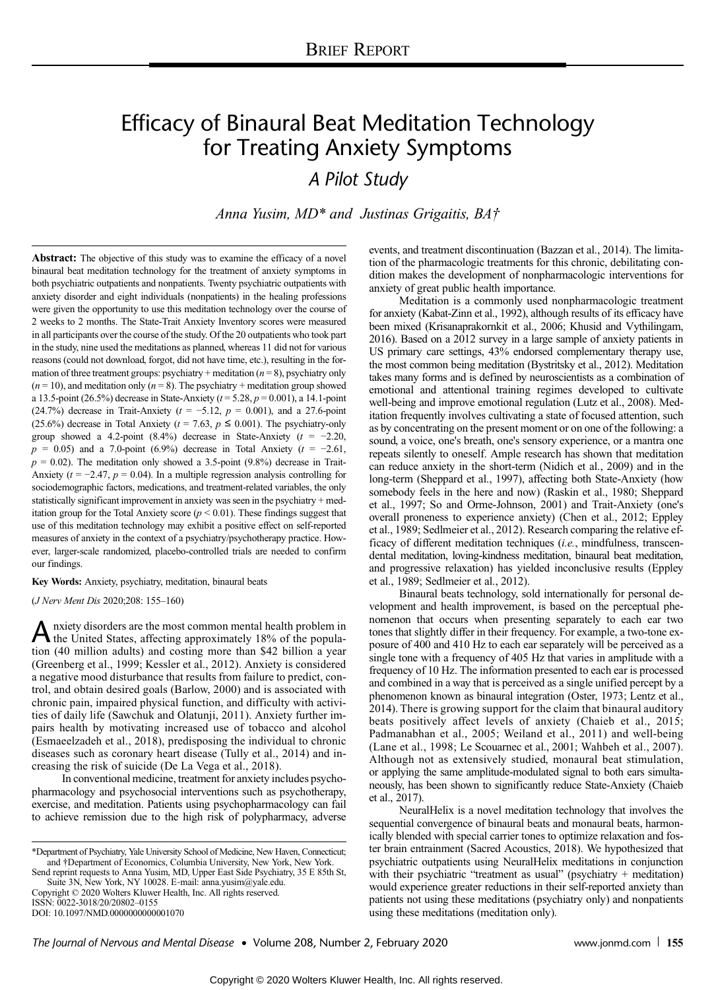# Efficacy of Binaural Beat Meditation Technology for Treating Anxiety Symptoms

A Pilot Study

Anna Yusim, MD\* and Justinas Grigaitis, BA†

Abstract: The objective of this study was to examine the efficacy of a novel binaural beat meditation technology for the treatment of anxiety symptoms in both psychiatric outpatients and nonpatients. Twenty psychiatric outpatients with anxiety disorder and eight individuals (nonpatients) in the healing professions were given the opportunity to use this meditation technology over the course of 2 weeks to 2 months. The State-Trait Anxiety Inventory scores were measured in all participants over the course of the study. Of the 20 outpatients who took part in the study, nine used the meditations as planned, whereas 11 did not for various reasons (could not download, forgot, did not have time, etc.), resulting in the formation of three treatment groups: psychiatry + meditation  $(n = 8)$ , psychiatry only  $(n = 10)$ , and meditation only  $(n = 8)$ . The psychiatry + meditation group showed a 13.5-point (26.5%) decrease in State-Anxiety ( $t = 5.28$ ,  $p = 0.001$ ), a 14.1-point (24.7%) decrease in Trait-Anxiety ( $t = -5.12$ ,  $p = 0.001$ ), and a 27.6-point (25.6%) decrease in Total Anxiety ( $t = 7.63$ ,  $p \le 0.001$ ). The psychiatry-only group showed a 4.2-point (8.4%) decrease in State-Anxiety ( $t = -2.20$ ,  $p = 0.05$ ) and a 7.0-point (6.9%) decrease in Total Anxiety ( $t = -2.61$ ,  $p = 0.02$ ). The meditation only showed a 3.5-point (9.8%) decrease in Trait-Anxiety ( $t = -2.47$ ,  $p = 0.04$ ). In a multiple regression analysis controlling for sociodemographic factors, medications, and treatment-related variables, the only statistically significant improvement in anxiety was seen in the psychiatry + meditation group for the Total Anxiety score ( $p \le 0.01$ ). These findings suggest that use of this meditation technology may exhibit a positive effect on self-reported measures of anxiety in the context of a psychiatry/psychotherapy practice. However, larger-scale randomized, placebo-controlled trials are needed to confirm our findings.

Key Words: Anxiety, psychiatry, meditation, binaural beats

(J Nerv Ment Dis 2020;208: 155–160)

A nxiety disorders are the most common mental health problem in<br>the United States, affecting approximately 18% of the popula-<br> $(40 \text{ m} \cdot \text{m} \cdot \text{m})$ tion (40 million adults) and costing more than \$42 billion a year (Greenberg et al., 1999; Kessler et al., 2012). Anxiety is considered a negative mood disturbance that results from failure to predict, control, and obtain desired goals (Barlow, 2000) and is associated with chronic pain, impaired physical function, and difficulty with activities of daily life (Sawchuk and Olatunji, 2011). Anxiety further impairs health by motivating increased use of tobacco and alcohol (Esmaeelzadeh et al., 2018), predisposing the individual to chronic diseases such as coronary heart disease (Tully et al., 2014) and increasing the risk of suicide (De La Vega et al., 2018).

In conventional medicine, treatment for anxiety includes psychopharmacology and psychosocial interventions such as psychotherapy, exercise, and meditation. Patients using psychopharmacology can fail to achieve remission due to the high risk of polypharmacy, adverse

\*Department of Psychiatry, Yale University School of Medicine, New Haven, Connecticut; and †Department of Economics, Columbia University, New York, New York.

Send reprint requests to Anna Yusim, MD, Upper East Side Psychiatry, 35 E 85th St, Suite 3N, New York, NY 10028. E‐mail: [anna.yusim@yale.edu.](mailto:anna.yusim@yale.edu) Copyright © 2020 Wolters Kluwer Health, Inc. All rights reserved.

ISSN: 0022-3018/20/20802–0155 DOI: 10.1097/NMD.0000000000001070 events, and treatment discontinuation (Bazzan et al., 2014). The limitation of the pharmacologic treatments for this chronic, debilitating condition makes the development of nonpharmacologic interventions for anxiety of great public health importance.

Meditation is a commonly used nonpharmacologic treatment for anxiety (Kabat-Zinn et al., 1992), although results of its efficacy have been mixed (Krisanaprakornkit et al., 2006; Khusid and Vythilingam, 2016). Based on a 2012 survey in a large sample of anxiety patients in US primary care settings, 43% endorsed complementary therapy use, the most common being meditation (Bystritsky et al., 2012). Meditation takes many forms and is defined by neuroscientists as a combination of emotional and attentional training regimes developed to cultivate well-being and improve emotional regulation (Lutz et al., 2008). Meditation frequently involves cultivating a state of focused attention, such as by concentrating on the present moment or on one of the following: a sound, a voice, one's breath, one's sensory experience, or a mantra one repeats silently to oneself. Ample research has shown that meditation can reduce anxiety in the short-term (Nidich et al., 2009) and in the long-term (Sheppard et al., 1997), affecting both State-Anxiety (how somebody feels in the here and now) (Raskin et al., 1980; Sheppard et al., 1997; So and Orme-Johnson, 2001) and Trait-Anxiety (one's overall proneness to experience anxiety) (Chen et al., 2012; Eppley et al., 1989; Sedlmeier et al., 2012). Research comparing the relative efficacy of different meditation techniques (i.e., mindfulness, transcendental meditation, loving-kindness meditation, binaural beat meditation, and progressive relaxation) has yielded inconclusive results (Eppley et al., 1989; Sedlmeier et al., 2012).

Binaural beats technology, sold internationally for personal development and health improvement, is based on the perceptual phenomenon that occurs when presenting separately to each ear two tones that slightly differ in their frequency. For example, a two-tone exposure of 400 and 410 Hz to each ear separately will be perceived as a single tone with a frequency of 405 Hz that varies in amplitude with a frequency of 10 Hz. The information presented to each ear is processed and combined in a way that is perceived as a single unified percept by a phenomenon known as binaural integration (Oster, 1973; Lentz et al., 2014). There is growing support for the claim that binaural auditory beats positively affect levels of anxiety (Chaieb et al., 2015; Padmanabhan et al., 2005; Weiland et al., 2011) and well-being (Lane et al., 1998; Le Scouarnec et al., 2001; Wahbeh et al., 2007). Although not as extensively studied, monaural beat stimulation, or applying the same amplitude-modulated signal to both ears simultaneously, has been shown to significantly reduce State-Anxiety (Chaieb et al., 2017).

NeuralHelix is a novel meditation technology that involves the sequential convergence of binaural beats and monaural beats, harmonically blended with special carrier tones to optimize relaxation and foster brain entrainment (Sacred Acoustics, 2018). We hypothesized that psychiatric outpatients using NeuralHelix meditations in conjunction with their psychiatric "treatment as usual" (psychiatry + meditation) would experience greater reductions in their self-reported anxiety than patients not using these meditations (psychiatry only) and nonpatients using these meditations (meditation only).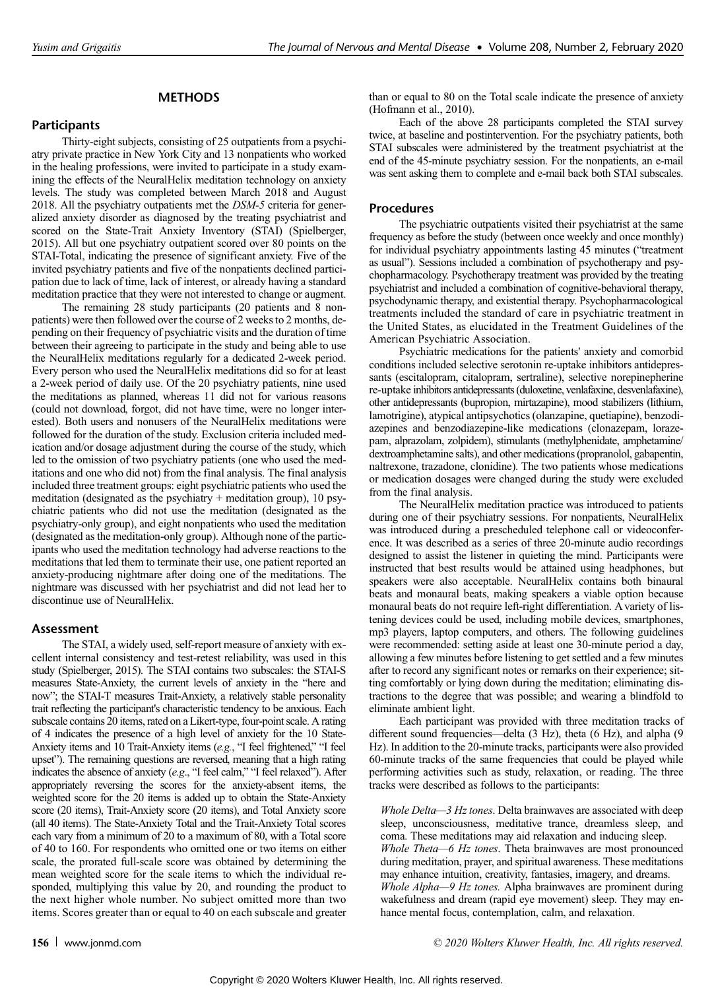# METHODS

# **Participants**

Thirty-eight subjects, consisting of 25 outpatients from a psychiatry private practice in New York City and 13 nonpatients who worked in the healing professions, were invited to participate in a study examining the effects of the NeuralHelix meditation technology on anxiety levels. The study was completed between March 2018 and August 2018. All the psychiatry outpatients met the DSM-5 criteria for generalized anxiety disorder as diagnosed by the treating psychiatrist and scored on the State-Trait Anxiety Inventory (STAI) (Spielberger, 2015). All but one psychiatry outpatient scored over 80 points on the STAI-Total, indicating the presence of significant anxiety. Five of the invited psychiatry patients and five of the nonpatients declined participation due to lack of time, lack of interest, or already having a standard meditation practice that they were not interested to change or augment.

The remaining 28 study participants (20 patients and 8 nonpatients) were then followed over the course of 2 weeks to 2 months, depending on their frequency of psychiatric visits and the duration of time between their agreeing to participate in the study and being able to use the NeuralHelix meditations regularly for a dedicated 2-week period. Every person who used the NeuralHelix meditations did so for at least a 2-week period of daily use. Of the 20 psychiatry patients, nine used the meditations as planned, whereas 11 did not for various reasons (could not download, forgot, did not have time, were no longer interested). Both users and nonusers of the NeuralHelix meditations were followed for the duration of the study. Exclusion criteria included medication and/or dosage adjustment during the course of the study, which led to the omission of two psychiatry patients (one who used the meditations and one who did not) from the final analysis. The final analysis included three treatment groups: eight psychiatric patients who used the meditation (designated as the psychiatry + meditation group), 10 psychiatric patients who did not use the meditation (designated as the psychiatry-only group), and eight nonpatients who used the meditation (designated as the meditation-only group). Although none of the participants who used the meditation technology had adverse reactions to the meditations that led them to terminate their use, one patient reported an anxiety-producing nightmare after doing one of the meditations. The nightmare was discussed with her psychiatrist and did not lead her to discontinue use of NeuralHelix.

## Assessment

The STAI, a widely used, self-report measure of anxiety with excellent internal consistency and test-retest reliability, was used in this study (Spielberger, 2015). The STAI contains two subscales: the STAI-S measures State-Anxiety, the current levels of anxiety in the "here and now"; the STAI-T measures Trait-Anxiety, a relatively stable personality trait reflecting the participant's characteristic tendency to be anxious. Each subscale contains 20 items, rated on a Likert-type, four-point scale. A rating of 4 indicates the presence of a high level of anxiety for the 10 State-Anxiety items and 10 Trait-Anxiety items (e.g., "I feel frightened," "I feel upset"). The remaining questions are reversed, meaning that a high rating indicates the absence of anxiety (e.g., "I feel calm," "I feel relaxed"). After appropriately reversing the scores for the anxiety-absent items, the weighted score for the 20 items is added up to obtain the State-Anxiety score (20 items), Trait-Anxiety score (20 items), and Total Anxiety score (all 40 items). The State-Anxiety Total and the Trait-Anxiety Total scores each vary from a minimum of 20 to a maximum of 80, with a Total score of 40 to 160. For respondents who omitted one or two items on either scale, the prorated full-scale score was obtained by determining the mean weighted score for the scale items to which the individual responded, multiplying this value by 20, and rounding the product to the next higher whole number. No subject omitted more than two items. Scores greater than or equal to 40 on each subscale and greater than or equal to 80 on the Total scale indicate the presence of anxiety (Hofmann et al., 2010).

Each of the above 28 participants completed the STAI survey twice, at baseline and postintervention. For the psychiatry patients, both STAI subscales were administered by the treatment psychiatrist at the end of the 45-minute psychiatry session. For the nonpatients, an e-mail was sent asking them to complete and e-mail back both STAI subscales.

## Procedures

The psychiatric outpatients visited their psychiatrist at the same frequency as before the study (between once weekly and once monthly) for individual psychiatry appointments lasting 45 minutes ("treatment as usual"). Sessions included a combination of psychotherapy and psychopharmacology. Psychotherapy treatment was provided by the treating psychiatrist and included a combination of cognitive-behavioral therapy, psychodynamic therapy, and existential therapy. Psychopharmacological treatments included the standard of care in psychiatric treatment in the United States, as elucidated in the Treatment Guidelines of the American Psychiatric Association.

Psychiatric medications for the patients' anxiety and comorbid conditions included selective serotonin re-uptake inhibitors antidepressants (escitalopram, citalopram, sertraline), selective norepinepherine re-uptake inhibitors antidepressants (duloxetine, venlafaxine, desvenlafaxine), other antidepressants (bupropion, mirtazapine), mood stabilizers (lithium, lamotrigine), atypical antipsychotics (olanzapine, quetiapine), benzodiazepines and benzodiazepine-like medications (clonazepam, lorazepam, alprazolam, zolpidem), stimulants (methylphenidate, amphetamine/ dextroamphetamine salts), and other medications (propranolol, gabapentin, naltrexone, trazadone, clonidine). The two patients whose medications or medication dosages were changed during the study were excluded from the final analysis.

The NeuralHelix meditation practice was introduced to patients during one of their psychiatry sessions. For nonpatients, NeuralHelix was introduced during a prescheduled telephone call or videoconference. It was described as a series of three 20-minute audio recordings designed to assist the listener in quieting the mind. Participants were instructed that best results would be attained using headphones, but speakers were also acceptable. NeuralHelix contains both binaural beats and monaural beats, making speakers a viable option because monaural beats do not require left-right differentiation. A variety of listening devices could be used, including mobile devices, smartphones, mp3 players, laptop computers, and others. The following guidelines were recommended: setting aside at least one 30-minute period a day, allowing a few minutes before listening to get settled and a few minutes after to record any significant notes or remarks on their experience; sitting comfortably or lying down during the meditation; eliminating distractions to the degree that was possible; and wearing a blindfold to eliminate ambient light.

Each participant was provided with three meditation tracks of different sound frequencies—delta (3 Hz), theta (6 Hz), and alpha (9 Hz). In addition to the 20-minute tracks, participants were also provided 60-minute tracks of the same frequencies that could be played while performing activities such as study, relaxation, or reading. The three tracks were described as follows to the participants:

Whole Delta—3 Hz tones. Delta brainwaves are associated with deep sleep, unconsciousness, meditative trance, dreamless sleep, and coma. These meditations may aid relaxation and inducing sleep. Whole Theta—6 Hz tones. Theta brainwaves are most pronounced during meditation, prayer, and spiritual awareness. These meditations may enhance intuition, creativity, fantasies, imagery, and dreams. Whole Alpha—9 Hz tones. Alpha brainwaves are prominent during wakefulness and dream (rapid eye movement) sleep. They may enhance mental focus, contemplation, calm, and relaxation.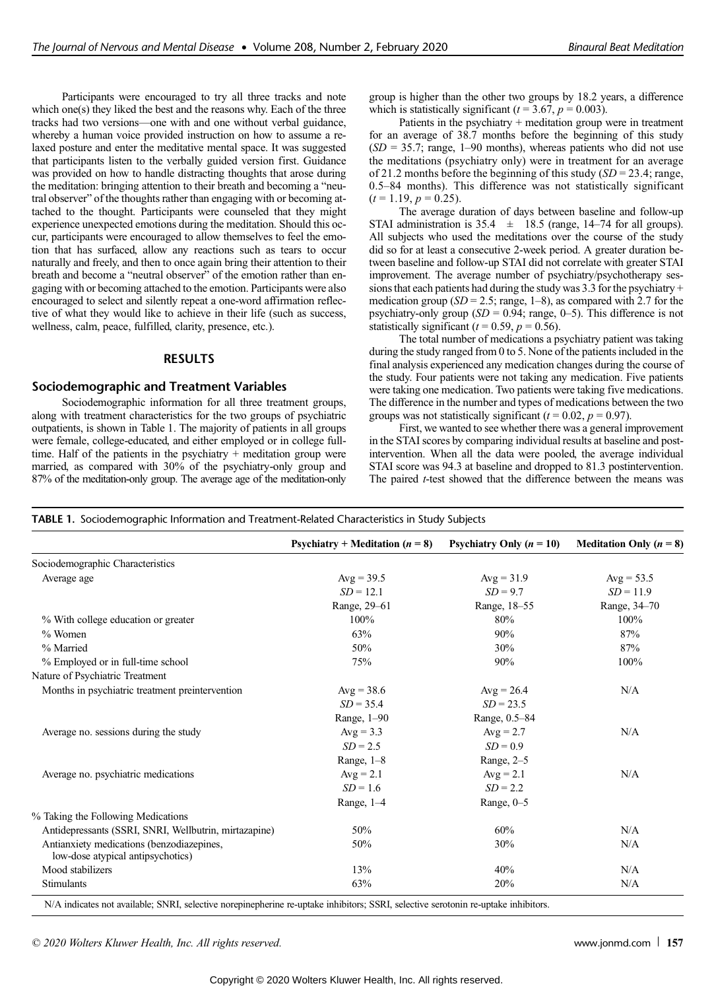Participants were encouraged to try all three tracks and note which one(s) they liked the best and the reasons why. Each of the three tracks had two versions—one with and one without verbal guidance, whereby a human voice provided instruction on how to assume a relaxed posture and enter the meditative mental space. It was suggested that participants listen to the verbally guided version first. Guidance was provided on how to handle distracting thoughts that arose during the meditation: bringing attention to their breath and becoming a "neutral observer" of the thoughts rather than engaging with or becoming attached to the thought. Participants were counseled that they might experience unexpected emotions during the meditation. Should this occur, participants were encouraged to allow themselves to feel the emotion that has surfaced, allow any reactions such as tears to occur naturally and freely, and then to once again bring their attention to their breath and become a "neutral observer" of the emotion rather than engaging with or becoming attached to the emotion. Participants were also encouraged to select and silently repeat a one-word affirmation reflective of what they would like to achieve in their life (such as success, wellness, calm, peace, fulfilled, clarity, presence, etc.).

## RESULTS

#### Sociodemographic and Treatment Variables

Sociodemographic information for all three treatment groups, along with treatment characteristics for the two groups of psychiatric outpatients, is shown in Table 1. The majority of patients in all groups were female, college-educated, and either employed or in college fulltime. Half of the patients in the psychiatry + meditation group were married, as compared with 30% of the psychiatry-only group and 87% of the meditation-only group. The average age of the meditation-only group is higher than the other two groups by 18.2 years, a difference which is statistically significant ( $t = 3.67$ ,  $p = 0.003$ ).

Patients in the psychiatry + meditation group were in treatment for an average of 38.7 months before the beginning of this study  $(SD = 35.7; \text{ range}, 1–90 \text{ months})$ , whereas patients who did not use the meditations (psychiatry only) were in treatment for an average of 21.2 months before the beginning of this study  $(SD = 23.4; \text{range},$ 0.5–84 months). This difference was not statistically significant  $(t = 1.19, p = 0.25).$ 

The average duration of days between baseline and follow-up STAI administration is  $35.4 \pm 18.5$  (range, 14–74 for all groups). All subjects who used the meditations over the course of the study did so for at least a consecutive 2-week period. A greater duration between baseline and follow-up STAI did not correlate with greater STAI improvement. The average number of psychiatry/psychotherapy sessions that each patients had during the study was 3.3 for the psychiatry + medication group ( $SD = 2.5$ ; range, 1–8), as compared with 2.7 for the psychiatry-only group  $(SD = 0.94$ ; range, 0–5). This difference is not statistically significant ( $t = 0.59$ ,  $p = 0.56$ ).

The total number of medications a psychiatry patient was taking during the study ranged from 0 to 5. None of the patients included in the final analysis experienced any medication changes during the course of the study. Four patients were not taking any medication. Five patients were taking one medication. Two patients were taking five medications. The difference in the number and types of medications between the two groups was not statistically significant ( $t = 0.02$ ,  $p = 0.97$ ).

First, we wanted to see whether there was a general improvement in the STAI scores by comparing individual results at baseline and postintervention. When all the data were pooled, the average individual STAI score was 94.3 at baseline and dropped to 81.3 postintervention. The paired *t*-test showed that the difference between the means was

|                                                                                | Psychiatry + Meditation $(n = 8)$ | Psychiatry Only $(n = 10)$ | <b>Meditation Only (<math>n = 8</math>)</b> |
|--------------------------------------------------------------------------------|-----------------------------------|----------------------------|---------------------------------------------|
| Sociodemographic Characteristics                                               |                                   |                            |                                             |
| Average age                                                                    | Avg = $39.5$                      | $Avg = 31.9$               | $Avg = 53.5$                                |
|                                                                                | $SD = 12.1$                       | $SD = 9.7$                 | $SD = 11.9$                                 |
|                                                                                | Range, 29-61                      | Range, 18-55               | Range, 34-70                                |
| % With college education or greater                                            | $100\%$                           | 80%                        | 100%                                        |
| $%$ Women                                                                      | 63%                               | 90%                        | 87%                                         |
| % Married                                                                      | 50%                               | 30%                        | 87%                                         |
| % Employed or in full-time school                                              | 75%                               | 90%                        | 100%                                        |
| Nature of Psychiatric Treatment                                                |                                   |                            |                                             |
| Months in psychiatric treatment preintervention                                | Avg = $38.6$                      | $Avg = 26.4$               | N/A                                         |
|                                                                                | $SD = 35.4$                       | $SD = 23.5$                |                                             |
|                                                                                | Range, 1-90                       | Range, 0.5-84              |                                             |
| Average no. sessions during the study                                          | $Avg = 3.3$                       | $Avg = 2.7$                | N/A                                         |
|                                                                                | $SD = 2.5$                        | $SD = 0.9$                 |                                             |
|                                                                                | Range, $1-8$                      | Range, $2-5$               |                                             |
| Average no. psychiatric medications                                            | $Avg = 2.1$                       | $Avg = 2.1$                | N/A                                         |
|                                                                                | $SD = 1.6$                        | $SD = 2.2$                 |                                             |
|                                                                                | Range, $1-4$                      | Range, $0-5$               |                                             |
| % Taking the Following Medications                                             |                                   |                            |                                             |
| Antidepressants (SSRI, SNRI, Wellbutrin, mirtazapine)                          | 50%                               | 60%                        | N/A                                         |
| Antianxiety medications (benzodiazepines,<br>low-dose atypical antipsychotics) | 50%                               | 30%                        | N/A                                         |
| Mood stabilizers                                                               | 13%                               | 40%                        | N/A                                         |
| Stimulants                                                                     | 63%                               | 20%                        | N/A                                         |

N/A indicates not available; SNRI, selective norepinepherine re-uptake inhibitors; SSRI, selective serotonin re-uptake inhibitors.

© 2020 Wolters Kluwer Health, Inc. All rights reserved. [www.jonmd.com](http://www.jonmd.com) 157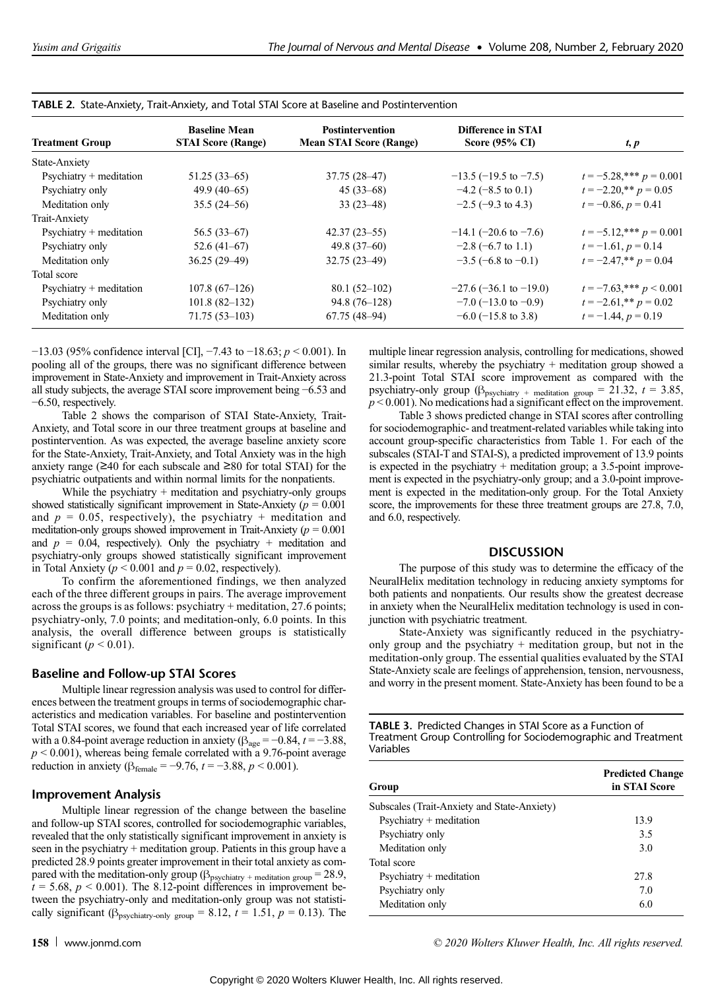| <b>Treatment Group</b>     | <b>Baseline Mean</b><br><b>STAI Score (Range)</b> | <b>Postintervention</b><br><b>Mean STAI Score (Range)</b> | Difference in STAI<br>Score $(95\% \text{ CI})$ | t, p                         |
|----------------------------|---------------------------------------------------|-----------------------------------------------------------|-------------------------------------------------|------------------------------|
| State-Anxiety              |                                                   |                                                           |                                                 |                              |
| $Psychiatry + meditation$  | $51.25(33-65)$                                    | 37.75 (28–47)                                             | $-13.5$ ( $-19.5$ to $-7.5$ )                   | $t = -5.28$ ,*** $p = 0.001$ |
| Psychiatry only            | $49.9(40-65)$                                     | $45(33-68)$                                               | $-4.2$ ( $-8.5$ to 0.1)                         | $t = -2.20$ ,** $p = 0.05$   |
| Meditation only            | $35.5(24-56)$                                     | $33(23-48)$                                               | $-2.5$ ( $-9.3$ to 4.3)                         | $t = -0.86$ , $p = 0.41$     |
| Trait-Anxiety              |                                                   |                                                           |                                                 |                              |
| $P$ sychiatry + meditation | $56.5(33-67)$                                     | $42.37(23 - 55)$                                          | $-14.1$ (-20.6 to -7.6)                         | $t = -5.12$ ,*** $p = 0.001$ |
| Psychiatry only            | $52.6(41-67)$                                     | $49.8(37-60)$                                             | $-2.8$ (-6.7 to 1.1)                            | $t = -1.61, p = 0.14$        |
| Meditation only            | $36.25(29-49)$                                    | $32.75(23 - 49)$                                          | $-3.5$ (-6.8 to -0.1)                           | $t = -2.47$ ,** $p = 0.04$   |
| Total score                |                                                   |                                                           |                                                 |                              |
| $Psychiatry + meditation$  | $107.8(67-126)$                                   | $80.1(52-102)$                                            | $-27.6$ ( $-36.1$ to $-19.0$ )                  | $t = -7.63$ ,*** $p < 0.001$ |
| Psychiatry only            | $101.8(82-132)$                                   | $94.8(76-128)$                                            | $-7.0$ (-13.0 to -0.9)                          | $t = -2.61$ ,** $p = 0.02$   |
| Meditation only            | $71.75(53 - 103)$                                 | $67.75(48-94)$                                            | $-6.0$ (-15.8 to 3.8)                           | $t = -1.44$ , $p = 0.19$     |

|  |  |  | TABLE 2. State-Anxiety, Trait-Anxiety, and Total STAI Score at Baseline and Postintervention |
|--|--|--|----------------------------------------------------------------------------------------------|
|  |  |  |                                                                                              |

−13.03 (95% confidence interval [CI], −7.43 to −18.63;  $p$  < 0.001). In pooling all of the groups, there was no significant difference between improvement in State-Anxiety and improvement in Trait-Anxiety across all study subjects, the average STAI score improvement being −6.53 and −6.50, respectively.

Table 2 shows the comparison of STAI State-Anxiety, Trait-Anxiety, and Total score in our three treatment groups at baseline and postintervention. As was expected, the average baseline anxiety score for the State-Anxiety, Trait-Anxiety, and Total Anxiety was in the high anxiety range ( $\geq$ 40 for each subscale and  $\geq$ 80 for total STAI) for the psychiatric outpatients and within normal limits for the nonpatients.

While the psychiatry  $+$  meditation and psychiatry-only groups showed statistically significant improvement in State-Anxiety ( $p = 0.001$ ) and  $p = 0.05$ , respectively), the psychiatry + meditation and meditation-only groups showed improvement in Trait-Anxiety ( $p = 0.001$ ) and  $p = 0.04$ , respectively). Only the psychiatry + meditation and psychiatry-only groups showed statistically significant improvement in Total Anxiety ( $p < 0.001$  and  $p = 0.02$ , respectively).

To confirm the aforementioned findings, we then analyzed each of the three different groups in pairs. The average improvement across the groups is as follows: psychiatry + meditation, 27.6 points; psychiatry-only, 7.0 points; and meditation-only, 6.0 points. In this analysis, the overall difference between groups is statistically significant ( $p < 0.01$ ).

# Baseline and Follow-up STAI Scores

Multiple linear regression analysis was used to control for differences between the treatment groups in terms of sociodemographic characteristics and medication variables. For baseline and postintervention Total STAI scores, we found that each increased year of life correlated with a 0.84-point average reduction in anxiety ( $\beta_{\text{age}} = -0.84$ ,  $t = -3.88$ ,  $p < 0.001$ ), whereas being female correlated with a 9.76-point average reduction in anxiety ( $\beta_{\text{female}} = -9.76$ ,  $t = -3.88$ ,  $p < 0.001$ ).

# Improvement Analysis

Multiple linear regression of the change between the baseline and follow-up STAI scores, controlled for sociodemographic variables, revealed that the only statistically significant improvement in anxiety is seen in the psychiatry + meditation group. Patients in this group have a predicted 28.9 points greater improvement in their total anxiety as compared with the meditation-only group ( $\beta_{\text{psychiatry}}$  + meditation group = 28.9,  $t = 5.68$ ,  $p < 0.001$ ). The 8.12-point differences in improvement between the psychiatry-only and meditation-only group was not statistically significant ( $\beta_{\text{psychiatry-only group}} = 8.12$ ,  $t = 1.51$ ,  $p = 0.13$ ). The multiple linear regression analysis, controlling for medications, showed similar results, whereby the psychiatry + meditation group showed a 21.3-point Total STAI score improvement as compared with the psychiatry-only group ( $\beta_{\text{psychiatry}}$  + meditation group = 21.32,  $t = 3.85$ ,  $p < 0.001$ ). No medications had a significant effect on the improvement.

Table 3 shows predicted change in STAI scores after controlling for sociodemographic- and treatment-related variables while taking into account group-specific characteristics from Table 1. For each of the subscales (STAI-T and STAI-S), a predicted improvement of 13.9 points is expected in the psychiatry  $+$  meditation group; a 3.5-point improvement is expected in the psychiatry-only group; and a 3.0-point improvement is expected in the meditation-only group. For the Total Anxiety score, the improvements for these three treatment groups are 27.8, 7.0, and 6.0, respectively.

## **DISCUSSION**

The purpose of this study was to determine the efficacy of the NeuralHelix meditation technology in reducing anxiety symptoms for both patients and nonpatients. Our results show the greatest decrease in anxiety when the NeuralHelix meditation technology is used in conjunction with psychiatric treatment.

State-Anxiety was significantly reduced in the psychiatryonly group and the psychiatry + meditation group, but not in the meditation-only group. The essential qualities evaluated by the STAI State-Anxiety scale are feelings of apprehension, tension, nervousness, and worry in the present moment. State-Anxiety has been found to be a

TABLE 3. Predicted Changes in STAI Score as a Function of Treatment Group Controlling for Sociodemographic and Treatment Variables

| Group                                       | <b>Predicted Change</b><br>in STAI Score |  |
|---------------------------------------------|------------------------------------------|--|
| Subscales (Trait-Anxiety and State-Anxiety) |                                          |  |
| $Psychiatry + meditation$                   | 13.9                                     |  |
| Psychiatry only                             | 3.5                                      |  |
| Meditation only                             | 3.0                                      |  |
| Total score                                 |                                          |  |
| $Psychiatry + meditation$                   | 27.8                                     |  |
| Psychiatry only                             | 7.0                                      |  |
| Meditation only                             | 6.0                                      |  |
|                                             |                                          |  |

158 [www.jonmd.com](http://www.jonmd.com) example and the community of  $\degree$  2020 Wolters Kluwer Health, Inc. All rights reserved.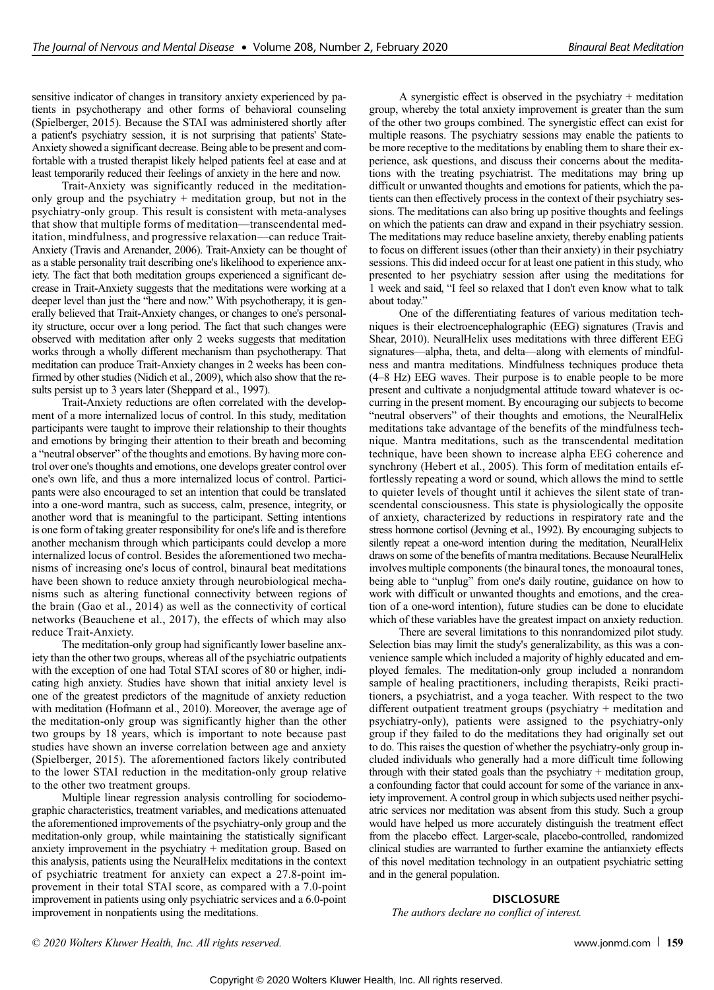sensitive indicator of changes in transitory anxiety experienced by patients in psychotherapy and other forms of behavioral counseling (Spielberger, 2015). Because the STAI was administered shortly after a patient's psychiatry session, it is not surprising that patients' State-Anxiety showed a significant decrease. Being able to be present and comfortable with a trusted therapist likely helped patients feel at ease and at least temporarily reduced their feelings of anxiety in the here and now.

Trait-Anxiety was significantly reduced in the meditationonly group and the psychiatry + meditation group, but not in the psychiatry-only group. This result is consistent with meta-analyses that show that multiple forms of meditation—transcendental meditation, mindfulness, and progressive relaxation—can reduce Trait-Anxiety (Travis and Arenander, 2006). Trait-Anxiety can be thought of as a stable personality trait describing one's likelihood to experience anxiety. The fact that both meditation groups experienced a significant decrease in Trait-Anxiety suggests that the meditations were working at a deeper level than just the "here and now." With psychotherapy, it is generally believed that Trait-Anxiety changes, or changes to one's personality structure, occur over a long period. The fact that such changes were observed with meditation after only 2 weeks suggests that meditation works through a wholly different mechanism than psychotherapy. That meditation can produce Trait-Anxiety changes in 2 weeks has been confirmed by other studies (Nidich et al., 2009), which also show that the results persist up to 3 years later (Sheppard et al., 1997).

Trait-Anxiety reductions are often correlated with the development of a more internalized locus of control. In this study, meditation participants were taught to improve their relationship to their thoughts and emotions by bringing their attention to their breath and becoming a "neutral observer" of the thoughts and emotions. By having more control over one's thoughts and emotions, one develops greater control over one's own life, and thus a more internalized locus of control. Participants were also encouraged to set an intention that could be translated into a one-word mantra, such as success, calm, presence, integrity, or another word that is meaningful to the participant. Setting intentions is one form of taking greater responsibility for one's life and is therefore another mechanism through which participants could develop a more internalized locus of control. Besides the aforementioned two mechanisms of increasing one's locus of control, binaural beat meditations have been shown to reduce anxiety through neurobiological mechanisms such as altering functional connectivity between regions of the brain (Gao et al., 2014) as well as the connectivity of cortical networks (Beauchene et al., 2017), the effects of which may also reduce Trait-Anxiety.

The meditation-only group had significantly lower baseline anxiety than the other two groups, whereas all of the psychiatric outpatients with the exception of one had Total STAI scores of 80 or higher, indicating high anxiety. Studies have shown that initial anxiety level is one of the greatest predictors of the magnitude of anxiety reduction with meditation (Hofmann et al., 2010). Moreover, the average age of the meditation-only group was significantly higher than the other two groups by 18 years, which is important to note because past studies have shown an inverse correlation between age and anxiety (Spielberger, 2015). The aforementioned factors likely contributed to the lower STAI reduction in the meditation-only group relative to the other two treatment groups.

Multiple linear regression analysis controlling for sociodemographic characteristics, treatment variables, and medications attenuated the aforementioned improvements of the psychiatry-only group and the meditation-only group, while maintaining the statistically significant anxiety improvement in the psychiatry + meditation group. Based on this analysis, patients using the NeuralHelix meditations in the context of psychiatric treatment for anxiety can expect a 27.8-point improvement in their total STAI score, as compared with a 7.0-point improvement in patients using only psychiatric services and a 6.0-point improvement in nonpatients using the meditations.

A synergistic effect is observed in the psychiatry + meditation group, whereby the total anxiety improvement is greater than the sum of the other two groups combined. The synergistic effect can exist for multiple reasons. The psychiatry sessions may enable the patients to be more receptive to the meditations by enabling them to share their experience, ask questions, and discuss their concerns about the meditations with the treating psychiatrist. The meditations may bring up difficult or unwanted thoughts and emotions for patients, which the patients can then effectively process in the context of their psychiatry sessions. The meditations can also bring up positive thoughts and feelings on which the patients can draw and expand in their psychiatry session. The meditations may reduce baseline anxiety, thereby enabling patients to focus on different issues (other than their anxiety) in their psychiatry sessions. This did indeed occur for at least one patient in this study, who presented to her psychiatry session after using the meditations for 1 week and said, "I feel so relaxed that I don't even know what to talk about today."

One of the differentiating features of various meditation techniques is their electroencephalographic (EEG) signatures (Travis and Shear, 2010). NeuralHelix uses meditations with three different EEG signatures—alpha, theta, and delta—along with elements of mindfulness and mantra meditations. Mindfulness techniques produce theta (4–8 Hz) EEG waves. Their purpose is to enable people to be more present and cultivate a nonjudgmental attitude toward whatever is occurring in the present moment. By encouraging our subjects to become "neutral observers" of their thoughts and emotions, the NeuralHelix meditations take advantage of the benefits of the mindfulness technique. Mantra meditations, such as the transcendental meditation technique, have been shown to increase alpha EEG coherence and synchrony (Hebert et al., 2005). This form of meditation entails effortlessly repeating a word or sound, which allows the mind to settle to quieter levels of thought until it achieves the silent state of transcendental consciousness. This state is physiologically the opposite of anxiety, characterized by reductions in respiratory rate and the stress hormone cortisol (Jevning et al., 1992). By encouraging subjects to silently repeat a one-word intention during the meditation, NeuralHelix draws on some of the benefits of mantra meditations. Because NeuralHelix involves multiple components (the binaural tones, the monoaural tones, being able to "unplug" from one's daily routine, guidance on how to work with difficult or unwanted thoughts and emotions, and the creation of a one-word intention), future studies can be done to elucidate which of these variables have the greatest impact on anxiety reduction.

There are several limitations to this nonrandomized pilot study. Selection bias may limit the study's generalizability, as this was a convenience sample which included a majority of highly educated and employed females. The meditation-only group included a nonrandom sample of healing practitioners, including therapists, Reiki practitioners, a psychiatrist, and a yoga teacher. With respect to the two different outpatient treatment groups (psychiatry + meditation and psychiatry-only), patients were assigned to the psychiatry-only group if they failed to do the meditations they had originally set out to do. This raises the question of whether the psychiatry-only group included individuals who generally had a more difficult time following through with their stated goals than the psychiatry  $+$  meditation group, a confounding factor that could account for some of the variance in anxiety improvement. A control group in which subjects used neither psychiatric services nor meditation was absent from this study. Such a group would have helped us more accurately distinguish the treatment effect from the placebo effect. Larger-scale, placebo-controlled, randomized clinical studies are warranted to further examine the antianxiety effects of this novel meditation technology in an outpatient psychiatric setting and in the general population.

#### **DISCLOSURE**

The authors declare no conflict of interest.

© 2020 Wolters Kluwer Health, Inc. All rights reserved. [www.jonmd.com](http://www.jonmd.com) 159